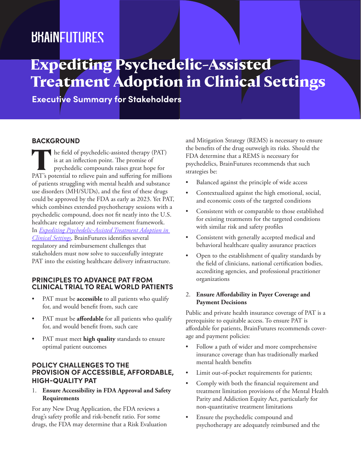## *BRAINFUTURES*

# **Expediting Psychedelic-Assisted Treatment Adoption in Clinical Settings**

**Executive Summary for Stakeholders**

### **BACKGROUND**

The field of psychedelic-assisted therapy (PAT) is at an inflection point. The promise of psychedelic compounds raises great hope for PAT's potential to relieve pain and suffering for millions of patients struggling with mental health and substance use disorders (MH/SUDs), and the first of these drugs could be approved by the FDA as early as 2023. Yet PAT, which combines extended psychotherapy sessions with a psychedelic compound, does not fit neatly into the U.S. healthcare regulatory and reimbursement framework. In *[Expediting Psychedelic-Assisted Treatment Adoption in](https://www.brainfutures.org/mental-health-treatment/expeditingpatadoption)  [Clinical Settings](https://www.brainfutures.org/mental-health-treatment/expeditingpatadoption)*, BrainFutures identifies several regulatory and reimbursement challenges that stakeholders must now solve to successfully integrate PAT into the existing healthcare delivery infrastructure.

#### **PRINCIPLES TO ADVANCE PAT FROM CLINICAL TRIAL TO REAL WORLD PATIENTS**

- PAT must be **accessible** to all patients who qualify for, and would benefit from, such care
- PAT must be **affordable** for all patients who qualify for, and would benefit from, such care
- PAT must meet **high quality** standards to ensure optimal patient outcomes

#### **POLICY CHALLENGES TO THE PROVISION OF ACCESSIBLE, AFFORDABLE, HIGH-QUALITY PAT**

1. **Ensure Accessibility in FDA Approval and Safety Requirements**

For any New Drug Application, the FDA reviews a drug's safety profile and risk-benefit ratio. For some drugs, the FDA may determine that a Risk Evaluation and Mitigation Strategy (REMS) is necessary to ensure the benefits of the drug outweigh its risks. Should the FDA determine that a REMS is necessary for psychedelics, BrainFutures recommends that such strategies be:

- Balanced against the principle of wide access
- Contextualized against the high emotional, social, and economic costs of the targeted conditions
- Consistent with or comparable to those established for existing treatments for the targeted conditions with similar risk and safety profiles
- Consistent with generally accepted medical and behavioral healthcare quality assurance practices
- Open to the establishment of quality standards by the field of clinicians, national certification bodies, accrediting agencies, and professional practitioner organizations

#### 2. **Ensure Affordability in Payer Coverage and Payment Decisions**

Public and private health insurance coverage of PAT is a prerequisite to equitable access. To ensure PAT is affordable for patients, BrainFutures recommends coverage and payment policies:

- Follow a path of wider and more comprehensive insurance coverage than has traditionally marked mental health benefits
- Limit out-of-pocket requirements for patients;
- Comply with both the financial requirement and treatment limitation provisions of the Mental Health Parity and Addiction Equity Act, particularly for non-quantitative treatment limitations
- Ensure the psychedelic compound and psychotherapy are adequately reimbursed and the